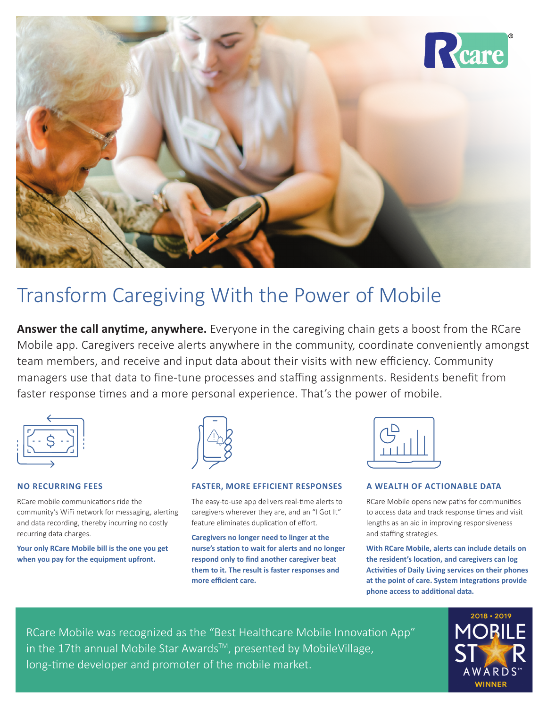

# Transform Caregiving With the Power of Mobile

**Answer the call anytime, anywhere.** Everyone in the caregiving chain gets a boost from the RCare Mobile app. Caregivers receive alerts anywhere in the community, coordinate conveniently amongst team members, and receive and input data about their visits with new efficiency. Community managers use that data to fine-tune processes and staffing assignments. Residents benefit from faster response times and a more personal experience. That's the power of mobile.



# **NO RECURRING FEES**

RCare mobile communications ride the community's WiFi network for messaging, alerting and data recording, thereby incurring no costly recurring data charges.

**Your only RCare Mobile bill is the one you get when you pay for the equipment upfront.** 



# **FASTER, MORE EFFICIENT RESPONSES**

The easy-to-use app delivers real-time alerts to caregivers wherever they are, and an "I Got It" feature eliminates duplication of effort.

**Caregivers no longer need to linger at the nurse's station to wait for alerts and no longer respond only to find another caregiver beat them to it. The result is faster responses and more efficient care.** 



# **A WEALTH OF ACTIONABLE DATA**

RCare Mobile opens new paths for communities to access data and track response times and visit lengths as an aid in improving responsiveness and staffing strategies.

**With RCare Mobile, alerts can include details on the resident's location, and caregivers can log Activities of Daily Living services on their phones at the point of care. System integrations provide phone access to additional data.**

RCare Mobile was recognized as the "Best Healthcare Mobile Innovation App" in the 17th annual Mobile Star Awards™, presented by MobileVillage, long-time developer and promoter of the mobile market.